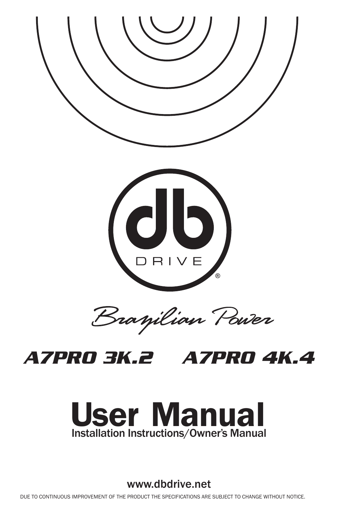

# *A7PRO 3K.2 A7PRO 4K.4*



www.dbdrive.net

DUE TO CONTINUOUS IMPROVEMENT OF THE PRODUCT THE SPECIFICATIONS ARE SUBJECT TO CHANGE WITHOUT NOTICE.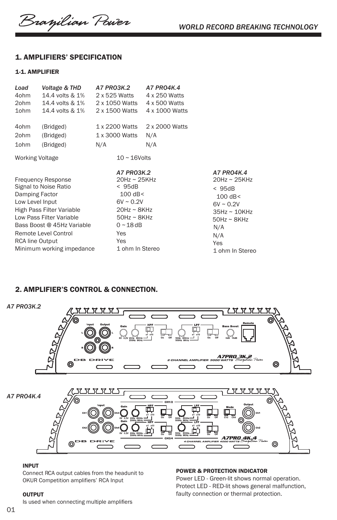Branilian Power

## 1. AMPLIFIERS' SPECIFICATION

## 1-1. AMPLIFIER

| Load<br>4ohm<br>2ohm<br>1ohm                                                                                                                                                                                                                                  | Voltage & THD<br>14.4 volts & 1%<br>14.4 volts & 1%<br>14.4 volts & 1% | A7 PRO3K.2<br>2 x 525 Watts<br>2 x 1050 Watts<br>2 x 1500 Watts                                                                                                     | <b>A7 PRO4K.4</b><br>4 x 250 Watts<br>4 x 500 Watts<br>4 x 1000 Watts |                                                                                                                                                                     |
|---------------------------------------------------------------------------------------------------------------------------------------------------------------------------------------------------------------------------------------------------------------|------------------------------------------------------------------------|---------------------------------------------------------------------------------------------------------------------------------------------------------------------|-----------------------------------------------------------------------|---------------------------------------------------------------------------------------------------------------------------------------------------------------------|
| 4ohm<br>2ohm                                                                                                                                                                                                                                                  | (Bridged)<br>(Bridged)                                                 | 1 x 2200 Watts<br>1 x 3000 Watts                                                                                                                                    | 2 x 2000 Watts<br>N/A                                                 |                                                                                                                                                                     |
| 1ohm                                                                                                                                                                                                                                                          | (Bridged)                                                              | N/A                                                                                                                                                                 | N/A                                                                   |                                                                                                                                                                     |
| <b>Working Voltage</b>                                                                                                                                                                                                                                        |                                                                        | $10 \sim 16$ Volts                                                                                                                                                  |                                                                       |                                                                                                                                                                     |
| <b>Frequency Response</b><br>Signal to Noise Ratio<br>Damping Factor<br>Low Level Input<br>High Pass Filter Variable<br>Low Pass Filter Variable<br>Bass Boost @ 45Hz Variable<br>Remote Level Control<br><b>RCA line Output</b><br>Minimum working impedance |                                                                        | A7 PR03K.2<br>$20$ Hz ~ $25$ KHz<br>< 95dB<br>$100$ dB<<br>$6V \sim 0.2V$<br>$20$ Hz ~ $8$ KHz<br>$50$ Hz ~ $8$ KHz<br>$0 - 18$ dB<br>Yes<br>Yes<br>1 ohm In Stereo |                                                                       | A7 PRO4K.4<br>$20$ Hz ~ $25$ KHz<br>< 95dB<br>$100$ dB <<br>$6V \sim 0.2V$<br>$35Hz \sim 10KHz$<br>$50$ Hz ~ $8$ KHz<br>N/A<br>N/A<br><b>Yes</b><br>1 ohm In Stereo |

## 2. AMPLIFIER'S CONTROL & CONNECTION.



POWER & PROTECTION INDICATOR

Power LED - Green-lit shows normal operation. Protect LED - RED-lit shows general malfunction, faulty connection or thermal protection.

#### INPUT

Connect RCA output cables from the headunit to OKUR Competition amplifiers' RCA Input

#### **OUTPUT**

Is used when connecting multiple amplifiers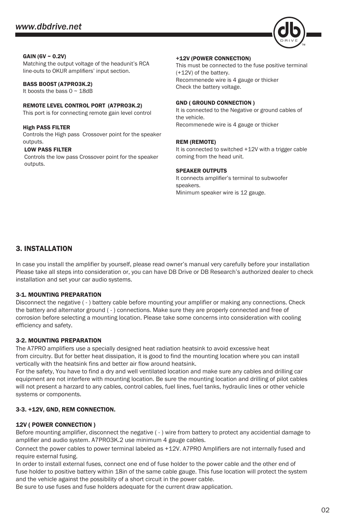

#### $GAIN (6V ~ 0.2V)$

Matching the output voltage of the headunit's RCA line-outs to OKUR amplifiers' input section.

#### BASS BOOST (A7PRO3K.2)

It boosts the bass 0 ~ 18dB

REMOTE LEVEL CONTROL PORT (A7PRO3K.2) This port is for connecting remote gain level control

High PASS FILTER Controls the High pass Crossover point for the speaker outputs.

#### LOW PASS FILTER

Controls the low pass Crossover point for the speaker outputs.

#### +12V (POWER CONNECTION)

This must be connected to the fuse positive terminal (+12V) of the battery. Recommenede wire is 4 gauge or thicker Check the battery voltage.

#### GND ( GROUND CONNECTION )

It is connected to the Negative or ground cables of the vehicle. Recommenede wire is 4 gauge or thicker

#### REM (REMOTE)

It is connected to switched +12V with a trigger cable coming from the head unit.

#### SPEAKER OUTPUTS

It connects amplifier's terminal to subwoofer speakers. Minimum speaker wire is 12 gauge.

## 3. INSTALLATION

In case you install the amplifier by yourself, please read owner's manual very carefully before your installation Please take all steps into consideration or, you can have DB Drive or DB Research's authorized dealer to check installation and set your car audio systems.

#### 3-1. MOUNTING PREPARATION

Disconnect the negative ( - ) battery cable before mounting your amplifier or making any connections. Check the battery and alternator ground ( - ) connections. Make sure they are properly connected and free of corrosion before selecting a mounting location. Please take some concerns into consideration with cooling efficiency and safety.

## 3-2. MOUNTING PREPARATION

The A7PRO amplifiers use a specially designed heat radiation heatsink to avoid excessive heat from circuitry. But for better heat dissipation, it is good to find the mounting location where you can install vertically with the heatsink fins and better air flow around heatsink.

For the safety, You have to find a dry and well ventilated location and make sure any cables and drilling car equipment are not interfere with mounting location. Be sure the mounting location and drilling of pilot cables will not present a harzard to any cables, control cables, fuel lines, fuel tanks, hydraulic lines or other vehicle systems or components.

## 3-3. +12V, GND, REM CONNECTION.

#### 12V ( POWER CONNECTION )

Before mounting amplifier, disconnect the negative ( - ) wire from battery to protect any accidential damage to amplifier and audio system. A7PRO3K.2 use minimum 4 gauge cables.

 Connect the power cables to power terminal labeled as +12V. A7PRO Amplifiers are not internally fused and require external fusing.

In order to install external fuses, connect one end of fuse holder to the power cable and the other end of fuse holder to positive battery within 18in of the same cable gauge. This fuse location will protect the system and the vehicle against the possibility of a short circuit in the power cable.

Be sure to use fuses and fuse holders adequate for the current draw application.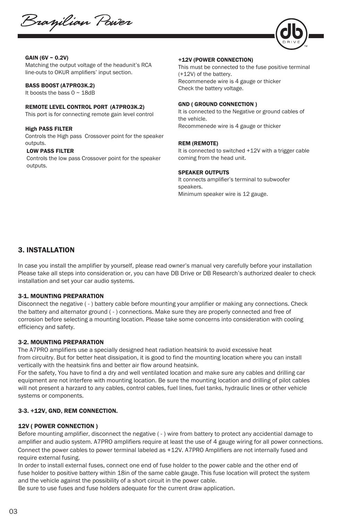Branjilian Power



#### GAIN (6V ~ 0.2V)

Matching the output voltage of the headunit's RCA line-outs to OKUR amplifiers' input section.

#### BASS BOOST (A7PRO3K.2)

It boosts the bass 0 ~ 18dB

## REMOTE LEVEL CONTROL PORT (A7PRO3K.2)

This port is for connecting remote gain level control

#### High PASS FILTER

Controls the High pass Crossover point for the speaker outputs.

#### LOW PASS FILTER

Controls the low pass Crossover point for the speaker outputs.

#### +12V (POWER CONNECTION)

This must be connected to the fuse positive terminal (+12V) of the battery. Recommenede wire is 4 gauge or thicker Check the battery voltage.

#### GND ( GROUND CONNECTION )

It is connected to the Negative or ground cables of the vehicle. Recommenede wire is 4 gauge or thicker

#### REM (REMOTE)

It is connected to switched +12V with a trigger cable coming from the head unit.

#### SPEAKER OUTPUTS

It connects amplifier's terminal to subwoofer speakers. Minimum speaker wire is 12 gauge.

## 3. INSTALLATION

In case you install the amplifier by yourself, please read owner's manual very carefully before your installation Please take all steps into consideration or, you can have DB Drive or DB Research's authorized dealer to check installation and set your car audio systems.

#### 3-1. MOUNTING PREPARATION

Disconnect the negative ( - ) battery cable before mounting your amplifier or making any connections. Check the battery and alternator ground ( - ) connections. Make sure they are properly connected and free of corrosion before selecting a mounting location. Please take some concerns into consideration with cooling efficiency and safety.

#### 3-2. MOUNTING PREPARATION

The A7PRO amplifiers use a specially designed heat radiation heatsink to avoid excessive heat from circuitry. But for better heat dissipation, it is good to find the mounting location where you can install vertically with the heatsink fins and better air flow around heatsink.

For the safety, You have to find a dry and well ventilated location and make sure any cables and drilling car equipment are not interfere with mounting location. Be sure the mounting location and drilling of pilot cables will not present a harzard to any cables, control cables, fuel lines, fuel tanks, hydraulic lines or other vehicle systems or components.

#### 3-3. +12V, GND, REM CONNECTION.

#### 12V ( POWER CONNECTION )

Before mounting amplifier, disconnect the negative ( - ) wire from battery to protect any accidential damage to amplifier and audio system. A7PRO amplifiers require at least the use of 4 gauge wiring for all power connections. Connect the power cables to power terminal labeled as +12V. A7PRO Amplifiers are not internally fused and require external fusing.

In order to install external fuses, connect one end of fuse holder to the power cable and the other end of fuse holder to positive battery within 18in of the same cable gauge. This fuse location will protect the system and the vehicle against the possibility of a short circuit in the power cable.

Be sure to use fuses and fuse holders adequate for the current draw application.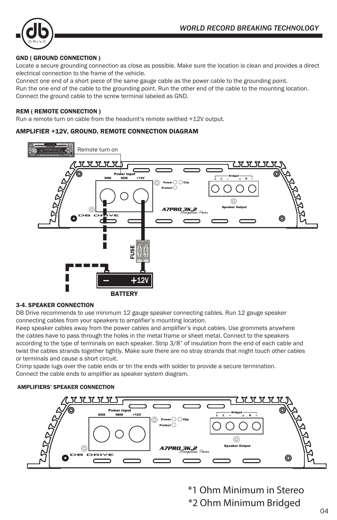

## GND ( GROUND CONNECTION )

Locate a secure grounding connection as close as possible. Make sure the location is clean and provides a direct electrical connection to the frame of the vehicle.

Connect one end of a short piece of the same gauge cable as the power cable to the grounding point. Run the one end of the cable to the grounding point. Run the other end of the cable to the mounting location. Connect the ground cable to the screw terminal labeled as GND.

### REM ( REMOTE CONNECTION )

Run a remote turn on cable from the headunit's remote swithed +12V output.

## AMPLIFIER +12V, GROUND, REMOTE CONNECTION DIAGRAM



## 3-4. SPEAKER CONNECTION

DB Drive recommends to use minimum 12 gauge speaker connecting cables. Run 12 gauge speaker connecting cables from your speakers to amplifier's mounting location.

Keep speaker cables away from the power cables and amplifier's input cables. Use grommets anywhere the cables have to pass through the holes in the metal frame or sheet metal. Connect to the speakers according to the type of terminals on each speaker. Strip 3/8" of insulation from the end of each cable and twist the cables strands together tightly. Make sure there are no stray strands that might touch other cables or terminals and cause a short circuit.

Crimp spade lugs over the cable ends or tin the ends with solder to provide a secure termination. Connect the cable ends to amplifier as speaker system diagram.

## AMPLIFIERS' SPEAKER CONNECTION



\*1 Ohm Minimum in Stereo \*2 Ohm Minimum Bridged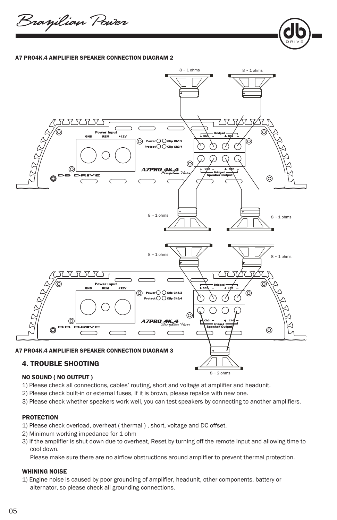Branjilian Power

#### A7 PRO4K.4 AMPLIFIER SPEAKER CONNECTION DIAGRAM 2



## NO SOUND ( NO OUTPUT )

- 1) Please check all connections, cables' routing, short and voltage at amplifier and headunit.
- 2) Please check built-in or external fuses, If it is brown, please repalce with new one.
- 3) Please check whether speakers work well, you can test speakers by connecting to another amplifiers.

#### **PROTECTION**

- 1) Please check overload, overheat ( thermal ) , short, voltage and DC offset.
- 2) Minimum working impedance for 1 ohm
- 3) If the amplifier is shut down due to overheat, Reset by turning off the remote input and allowing time to cool down.

Please make sure there are no airflow obstructions around amplifier to prevent thermal protection.

## WHINING NOISE

1) Engine noise is caused by poor grounding of amplifier, headunit, other components, battery or alternator, so please check all grounding connections.